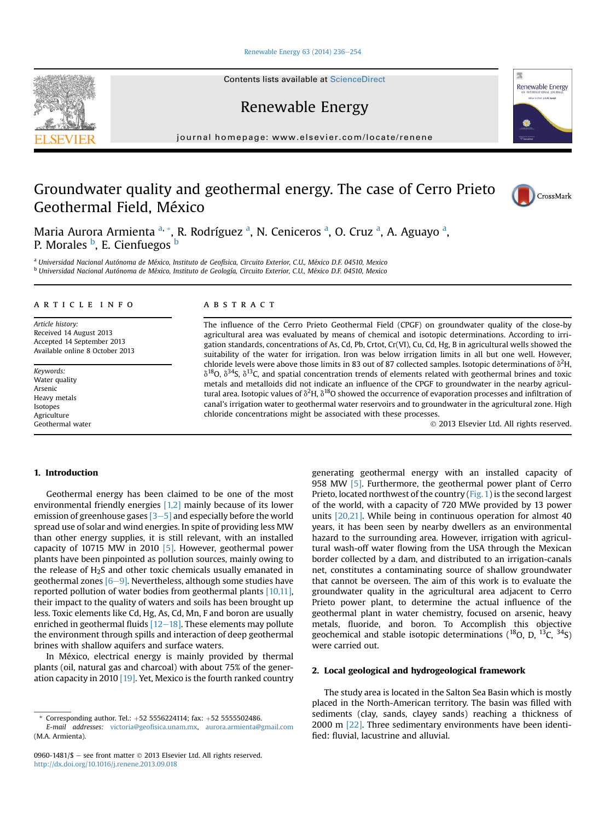[Renewable Energy 63 \(2014\) 236](http://dx.doi.org/10.1016/j.renene.2013.09.018)-[254](http://dx.doi.org/10.1016/j.renene.2013.09.018)

Contents lists available at ScienceDirect

Renewable Energy

journal homepage: [www.elsevier.com/locate/renene](http://www.elsevier.com/locate/renene)

## Groundwater quality and geothermal energy. The case of Cerro Prieto Geothermal Field, México

Maria Aurora Armienta <sup>a, \*</sup>, R. Rodríguez <sup>a</sup>, N. Ceniceros <sup>a</sup>, O. Cruz <sup>a</sup>, A. Aguayo <sup>a</sup>, P. Morales <sup>b</sup>, E. Cienfuegos <sup>b</sup>

<sup>a</sup> Universidad Nacional Autónoma de México, Instituto de Geofísica, Circuito Exterior, C.U., México D.F. 04510, Mexico <sup>b</sup> Universidad Nacional Autónoma de México, Instituto de Geología, Circuito Exterior, C.U., México D.F. 04510, Mexico

#### article info

Article history: Received 14 August 2013 Accepted 14 September 2013 Available online 8 October 2013

Keywords: Water quality Arsenic Heavy metals Isotopes Agriculture Geothermal water

### **ABSTRACT**

The influence of the Cerro Prieto Geothermal Field (CPGF) on groundwater quality of the close-by agricultural area was evaluated by means of chemical and isotopic determinations. According to irrigation standards, concentrations of As, Cd, Pb, Crtot, Cr(VI), Cu, Cd, Hg, B in agricultural wells showed the suitability of the water for irrigation. Iron was below irrigation limits in all but one well. However, chloride levels were above those limits in 83 out of 87 collected samples. Isotopic determinations of  $\delta^2H$  $\delta^{18}$ O,  $\delta^{34}$ S,  $\delta^{13}$ C, and spatial concentration trends of elements related with geothermal brines and toxic metals and metalloids did not indicate an influence of the CPGF to groundwater in the nearby agricultural area. Isotopic values of  $\delta^2$ H,  $\delta^{18}$ O showed the occurrence of evaporation processes and infiltration of canal's irrigation water to geothermal water reservoirs and to groundwater in the agricultural zone. High chloride concentrations might be associated with these processes.

2013 Elsevier Ltd. All rights reserved.

#### 1. Introduction

Geothermal energy has been claimed to be one of the most environmental friendly energies [1,2] mainly because of its lower emission of greenhouse gases  $[3-5]$  and especially before the world spread use of solar and wind energies. In spite of providing less MW than other energy supplies, it is still relevant, with an installed capacity of 10715 MW in 2010 [5]. However, geothermal power plants have been pinpointed as pollution sources, mainly owing to the release of  $H_2S$  and other toxic chemicals usually emanated in geothermal zones  $[6-9]$ . Nevertheless, although some studies have reported pollution of water bodies from geothermal plants [10,11], their impact to the quality of waters and soils has been brought up less. Toxic elements like Cd, Hg, As, Cd, Mn, F and boron are usually enriched in geothermal fluids  $[12-18]$ . These elements may pollute the environment through spills and interaction of deep geothermal brines with shallow aquifers and surface waters.

In México, electrical energy is mainly provided by thermal plants (oil, natural gas and charcoal) with about 75% of the generation capacity in 2010 [19]. Yet, Mexico is the fourth ranked country generating geothermal energy with an installed capacity of 958 MW [5]. Furthermore, the geothermal power plant of Cerro Prieto, located northwest of the country (Fig. 1) is the second largest of the world, with a capacity of 720 MWe provided by 13 power units [20,21]. While being in continuous operation for almost 40 years, it has been seen by nearby dwellers as an environmental hazard to the surrounding area. However, irrigation with agricultural wash-off water flowing from the USA through the Mexican border collected by a dam, and distributed to an irrigation-canals net, constitutes a contaminating source of shallow groundwater that cannot be overseen. The aim of this work is to evaluate the groundwater quality in the agricultural area adjacent to Cerro Prieto power plant, to determine the actual influence of the geothermal plant in water chemistry, focused on arsenic, heavy metals, fluoride, and boron. To Accomplish this objective geochemical and stable isotopic determinations  $(^{18}O, D, ^{13}C, ^{34}S)$ were carried out.

#### 2. Local geological and hydrogeological framework

The study area is located in the Salton Sea Basin which is mostly placed in the North-American territory. The basin was filled with sediments (clay, sands, clayey sands) reaching a thickness of 2000 m [22]. Three sedimentary environments have been identified: fluvial, lacustrine and alluvial.







<sup>\*</sup> Corresponding author. Tel.:  $+52$  5556224114; fax:  $+52$  5555502486.

E-mail addresses: victoria@geofi[sica.unam.mx,](mailto:victoria@geofisica.unam.mx) [aurora.armienta@gmail.com](mailto:aurora.armienta@gmail.com) (M.A. Armienta).

<sup>0960-1481/\$ -</sup> see front matter  $\odot$  2013 Elsevier Ltd. All rights reserved. <http://dx.doi.org/10.1016/j.renene.2013.09.018>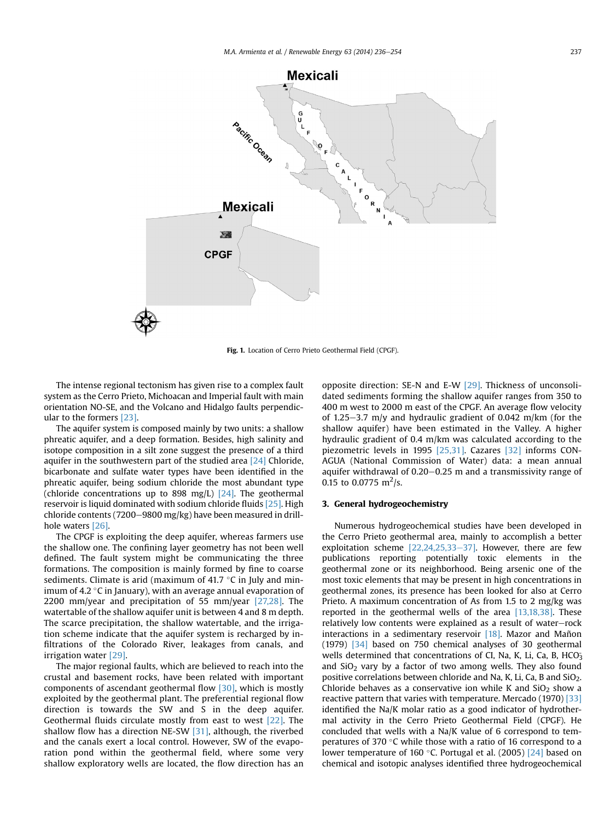

Fig. 1. Location of Cerro Prieto Geothermal Field (CPGF).

The intense regional tectonism has given rise to a complex fault system as the Cerro Prieto, Michoacan and Imperial fault with main orientation NO-SE, and the Volcano and Hidalgo faults perpendicular to the formers [23].

The aquifer system is composed mainly by two units: a shallow phreatic aquifer, and a deep formation. Besides, high salinity and isotope composition in a silt zone suggest the presence of a third aquifer in the southwestern part of the studied area [24] Chloride, bicarbonate and sulfate water types have been identified in the phreatic aquifer, being sodium chloride the most abundant type (chloride concentrations up to 898 mg/L)  $[24]$ . The geothermal reservoir is liquid dominated with sodium chloride fluids [25]. High chloride contents (7200-9800 mg/kg) have been measured in drillhole waters [26].

The CPGF is exploiting the deep aquifer, whereas farmers use the shallow one. The confining layer geometry has not been well defined. The fault system might be communicating the three formations. The composition is mainly formed by fine to coarse sediments. Climate is arid (maximum of 41.7  $\,^{\circ}$ C in July and minimum of 4.2  $^{\circ}$ C in January), with an average annual evaporation of 2200 mm/year and precipitation of 55 mm/year [27,28]. The watertable of the shallow aquifer unit is between 4 and 8 m depth. The scarce precipitation, the shallow watertable, and the irrigation scheme indicate that the aquifer system is recharged by infiltrations of the Colorado River, leakages from canals, and irrigation water [29].

The major regional faults, which are believed to reach into the crustal and basement rocks, have been related with important components of ascendant geothermal flow [30], which is mostly exploited by the geothermal plant. The preferential regional flow direction is towards the SW and S in the deep aquifer. Geothermal fluids circulate mostly from east to west [22]. The shallow flow has a direction NE-SW [31], although, the riverbed and the canals exert a local control. However, SW of the evaporation pond within the geothermal field, where some very shallow exploratory wells are located, the flow direction has an

opposite direction: SE-N and E-W [29]. Thickness of unconsolidated sediments forming the shallow aquifer ranges from 350 to 400 m west to 2000 m east of the CPGF. An average flow velocity of 1.25–3.7 m/y and hydraulic gradient of 0.042 m/km (for the shallow aquifer) have been estimated in the Valley. A higher hydraulic gradient of 0.4 m/km was calculated according to the piezometric levels in 1995 [25,31]. Cazares [32] informs CON-AGUA (National Commission of Water) data: a mean annual aquifer withdrawal of  $0.20-0.25$  m and a transmissivity range of 0.15 to 0.0775 m<sup>2</sup>/s.

#### 3. General hydrogeochemistry

Numerous hydrogeochemical studies have been developed in the Cerro Prieto geothermal area, mainly to accomplish a better exploitation scheme  $[22, 24, 25, 33-37]$ . However, there are few publications reporting potentially toxic elements in the geothermal zone or its neighborhood. Being arsenic one of the most toxic elements that may be present in high concentrations in geothermal zones, its presence has been looked for also at Cerro Prieto. A maximum concentration of As from 1.5 to 2 mg/kg was reported in the geothermal wells of the area [13,18,38]. These relatively low contents were explained as a result of water-rock interactions in a sedimentary reservoir [18]. Mazor and Mañon (1979) [34] based on 750 chemical analyses of 30 geothermal wells determined that concentrations of CI, Na, K, Li, Ca, B, HCO<sub>3</sub> and  $SiO<sub>2</sub>$  vary by a factor of two among wells. They also found positive correlations between chloride and Na, K, Li, Ca, B and  $SiO<sub>2</sub>$ . Chloride behaves as a conservative ion while K and  $SiO<sub>2</sub>$  show a reactive pattern that varies with temperature. Mercado (1970) [33] identified the Na/K molar ratio as a good indicator of hydrothermal activity in the Cerro Prieto Geothermal Field (CPGF). He concluded that wells with a Na/K value of 6 correspond to temperatures of 370  $\degree$ C while those with a ratio of 16 correspond to a lower temperature of 160 °C. Portugal et al. (2005) [24] based on chemical and isotopic analyses identified three hydrogeochemical